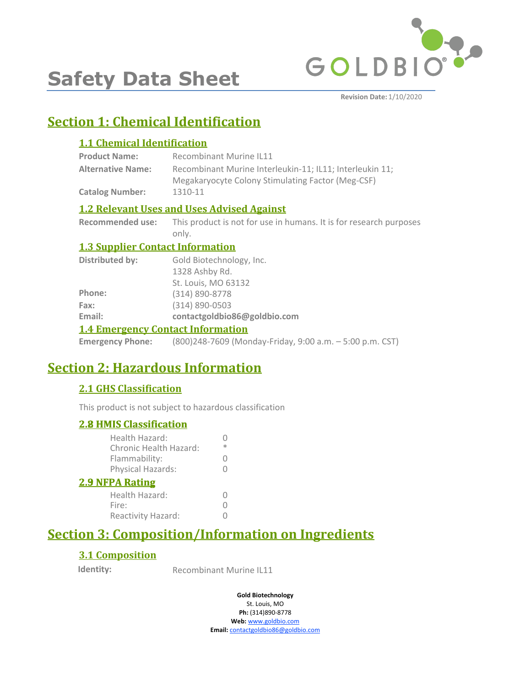

**Safety Data Sheet**

**Revision Date:** 1/10/2020

# **Section 1: Chemical Identification**

### **1.1 Chemical Identification**

| <b>Product Name:</b>     | <b>Recombinant Murine IL11</b>                           |
|--------------------------|----------------------------------------------------------|
| <b>Alternative Name:</b> | Recombinant Murine Interleukin-11; IL11; Interleukin 11; |
|                          | Megakaryocyte Colony Stimulating Factor (Meg-CSF)        |
| <b>Catalog Number:</b>   | 1310-11                                                  |

### **1.2 Relevant Uses and Uses Advised Against**

**Recommended use:** This product is not for use in humans. It is for research purposes only.

### **1.3 Supplier Contact Information**

| 1.4 Emangement Cantact Information |                              |
|------------------------------------|------------------------------|
| Email:                             | contactgoldbio86@goldbio.com |
| Fax:                               | $(314) 890 - 0503$           |
| Phone:                             | $(314) 890 - 8778$           |
|                                    | St. Louis, MO 63132          |
|                                    | 1328 Ashby Rd.               |
| <b>Distributed by:</b>             | Gold Biotechnology, Inc.     |

### **1.4 Emergency Contact Information**

**Emergency Phone:** (800)248-7609 (Monday-Friday, 9:00 a.m. – 5:00 p.m. CST)

# **Section 2: Hazardous Information**

### **2.1 GHS Classification**

This product is not subject to hazardous classification

| ж |
|---|
|   |
| 0 |
|   |
|   |
|   |
|   |
|   |

# **Section 3: Composition/Information on Ingredients**

### **3.1 Composition**

**Identity:** Recombinant Murine IL11

**Gold Biotechnology** St. Louis, MO

**Ph:** (314)890-8778 **Web:** www.goldbio.com **Email:** contactgoldbio86@goldbio.com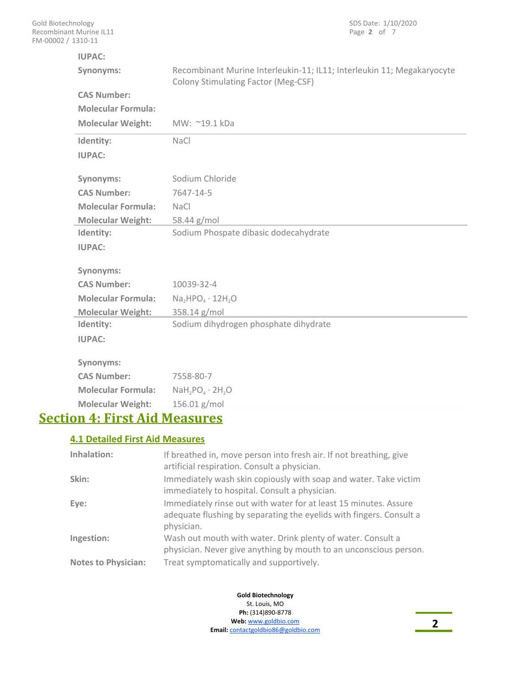| t Murine IL11<br>1310-11  | Page 2 of 7                                                                                                          |
|---------------------------|----------------------------------------------------------------------------------------------------------------------|
| <b>IUPAC:</b>             |                                                                                                                      |
| Synonyms:                 | Recombinant Murine Interleukin-11; IL11; Interleukin 11; Megakaryocyte<br><b>Colony Stimulating Factor (Meg-CSF)</b> |
| <b>CAS Number:</b>        |                                                                                                                      |
| <b>Molecular Formula:</b> |                                                                                                                      |
| <b>Molecular Weight:</b>  | MW: ~19.1 kDa                                                                                                        |
| Identity:                 | <b>NaCl</b>                                                                                                          |
| <b>IUPAC:</b>             |                                                                                                                      |
| Synonyms:                 | Sodium Chloride                                                                                                      |
| <b>CAS Number:</b>        | 7647-14-5                                                                                                            |
| <b>Molecular Formula:</b> | <b>NaCl</b>                                                                                                          |
| <b>Molecular Weight:</b>  | 58.44 g/mol                                                                                                          |
| Identity:                 | Sodium Phospate dibasic dodecahydrate                                                                                |
| <b>IUPAC:</b>             |                                                                                                                      |
|                           |                                                                                                                      |
| Synonyms:                 |                                                                                                                      |
| <b>CAS Number:</b>        | 10039-32-4                                                                                                           |
| <b>Molecular Formula:</b> | $Na2HPO4 \cdot 12H2O$                                                                                                |
| <b>Molecular Weight:</b>  | 358.14 g/mol                                                                                                         |
| Identity:                 | Sodium dihydrogen phosphate dihydrate                                                                                |
| <b>IUPAC:</b>             |                                                                                                                      |
| Synonyms:                 |                                                                                                                      |
| <b>CAS Number:</b>        | 7558-80-7                                                                                                            |
| <b>Molecular Formula:</b> | $NaH_2PO_4 \cdot 2H_2O$                                                                                              |
| <b>Molecular Weight:</b>  | 156.01 g/mol                                                                                                         |

SDS Date: 1/10/2020

# **Section 4: First Aid Measures**

### **4.1 Detailed First Aid Measures**

| Inhalation:                | If breathed in, move person into fresh air. If not breathing, give<br>artificial respiration. Consult a physician.                                    |
|----------------------------|-------------------------------------------------------------------------------------------------------------------------------------------------------|
| Skin:                      | Immediately wash skin copiously with soap and water. Take victim<br>immediately to hospital. Consult a physician.                                     |
| Eye:                       | Immediately rinse out with water for at least 15 minutes. Assure<br>adequate flushing by separating the eyelids with fingers. Consult a<br>physician. |
| Ingestion:                 | Wash out mouth with water. Drink plenty of water. Consult a<br>physician. Never give anything by mouth to an unconscious person.                      |
| <b>Notes to Physician:</b> | Treat symptomatically and supportively.                                                                                                               |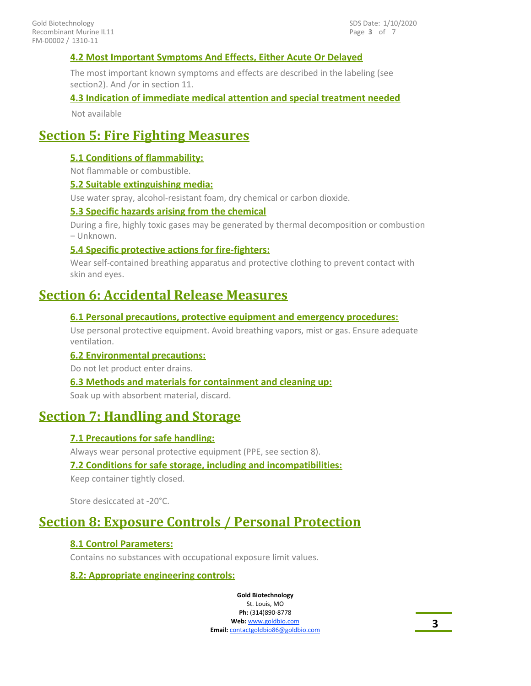### **4.2 Most Important Symptoms And Effects, Either Acute Or Delayed**

The most important known symptoms and effects are described in the labeling (see section2). And /or in section 11.

#### **4.3 Indication of immediate medical attention and special treatment needed**

Not available

# **Section 5: Fire Fighting Measures**

#### **5.1 Conditions of flammability:**

Not flammable or combustible.

#### **5.2 Suitable extinguishing media:**

Use water spray, alcohol-resistant foam, dry chemical or carbon dioxide.

#### **5.3 Specific hazards arising from the chemical**

During a fire, highly toxic gases may be generated by thermal decomposition or combustion – Unknown.

#### **5.4 Specific protective actions for fire-fighters:**

Wear self-contained breathing apparatus and protective clothing to prevent contact with skin and eyes.

### **Section 6: Accidental Release Measures**

#### **6.1 Personal precautions, protective equipment and emergency procedures:**

Use personal protective equipment. Avoid breathing vapors, mist or gas. Ensure adequate ventilation.

#### **6.2 Environmental precautions:**

Do not let product enter drains.

#### **6.3 Methods and materials for containment and cleaning up:**

Soak up with absorbent material, discard.

### **Section 7: Handling and Storage**

### **7.1 Precautions for safe handling:**

Always wear personal protective equipment (PPE, see section 8).

#### **7.2 Conditions for safe storage, including and incompatibilities:**

Keep container tightly closed.

Store desiccated at -20°C.

# **Section 8: Exposure Controls / Personal Protection**

#### **8.1 Control Parameters:**

Contains no substances with occupational exposure limit values.

#### **8.2: Appropriate engineering controls:**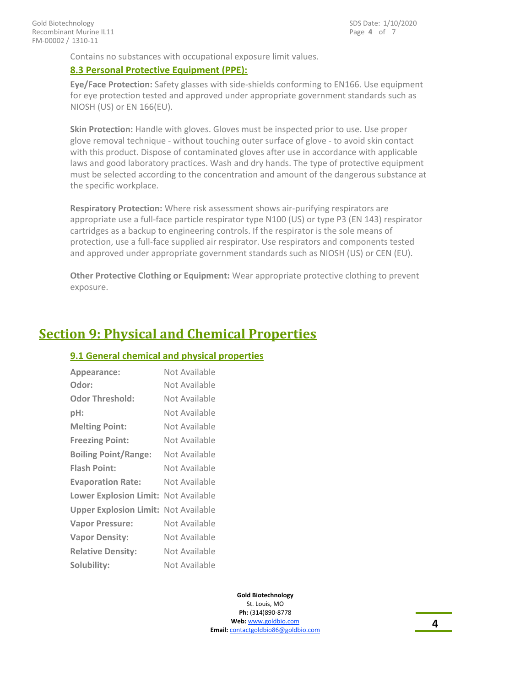Contains no substances with occupational exposure limit values.

#### **8.3 Personal Protective Equipment (PPE):**

**Eye/Face Protection:** Safety glasses with side-shields conforming to EN166. Use equipment for eye protection tested and approved under appropriate government standards such as NIOSH (US) or EN 166(EU).

**Skin Protection:** Handle with gloves. Gloves must be inspected prior to use. Use proper glove removal technique - without touching outer surface of glove - to avoid skin contact with this product. Dispose of contaminated gloves after use in accordance with applicable laws and good laboratory practices. Wash and dry hands. The type of protective equipment must be selected according to the concentration and amount of the dangerous substance at the specific workplace.

**Respiratory Protection:** Where risk assessment shows air-purifying respirators are appropriate use a full-face particle respirator type N100 (US) or type P3 (EN 143) respirator cartridges as a backup to engineering controls. If the respirator is the sole means of protection, use a full-face supplied air respirator. Use respirators and components tested and approved under appropriate government standards such as NIOSH (US) or CEN (EU).

**Other Protective Clothing or Equipment:** Wear appropriate protective clothing to prevent exposure.

### **Section 9: Physical and Chemical Properties**

#### **9.1 General chemical and physical properties**

| Appearance:                   | Not Available |
|-------------------------------|---------------|
| Odor:                         | Not Available |
| <b>Odor Threshold:</b>        | Not Available |
| pH:                           | Not Available |
| <b>Melting Point:</b>         | Not Available |
| <b>Freezing Point:</b>        | Not Available |
| <b>Boiling Point/Range:</b>   | Not Available |
| <b>Flash Point:</b>           | Not Available |
| <b>Evaporation Rate:</b>      | Not Available |
| <b>Lower Explosion Limit:</b> | Not Available |
| <b>Upper Explosion Limit:</b> | Not Available |
| <b>Vapor Pressure:</b>        | Not Available |
| <b>Vapor Density:</b>         | Not Available |
| <b>Relative Density:</b>      | Not Available |
| Solubility:                   | Not Available |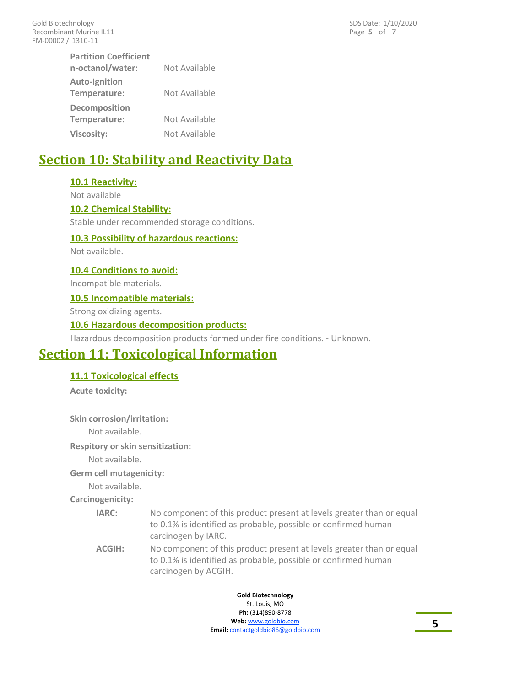Page **5** of 7 SDS Date: 1/10/2020

| <b>Partition Coefficient</b>         |               |
|--------------------------------------|---------------|
| n-octanol/water:                     | Not Available |
| <b>Auto-Ignition</b><br>Temperature: | Not Available |
| <b>Decomposition</b>                 |               |
| Temperature:                         | Not Available |
| Viscosity:                           | Not Available |

# **Section 10: Stability and Reactivity Data**

#### **10.1 Reactivity:**

Not available

#### **10.2 Chemical Stability:**

Stable under recommended storage conditions.

#### **10.3 Possibility of hazardous reactions:**

Not available.

#### **10.4 Conditions to avoid:**

Incompatible materials.

#### **10.5 Incompatible materials:**

Strong oxidizing agents.

#### **10.6 Hazardous decomposition products:**

Hazardous decomposition products formed under fire conditions. - Unknown.

# **Section 11: Toxicological Information**

#### **11.1 Toxicological effects**

**Acute toxicity:**

**Skin corrosion/irritation:**

Not available.

**Respitory or skin sensitization:**

Not available.

#### **Germ cell mutagenicity:**

Not available.

**Carcinogenicity:**

| <b>IARC:</b> | No component of this product present at levels greater than or equal |
|--------------|----------------------------------------------------------------------|
|              | to 0.1% is identified as probable, possible or confirmed human       |
|              | carcinogen by IARC.                                                  |

No component of this product present at levels greater than or equal to 0.1% is identified as probable, possible or confirmed human carcinogen by ACGIH. **ACGIH:**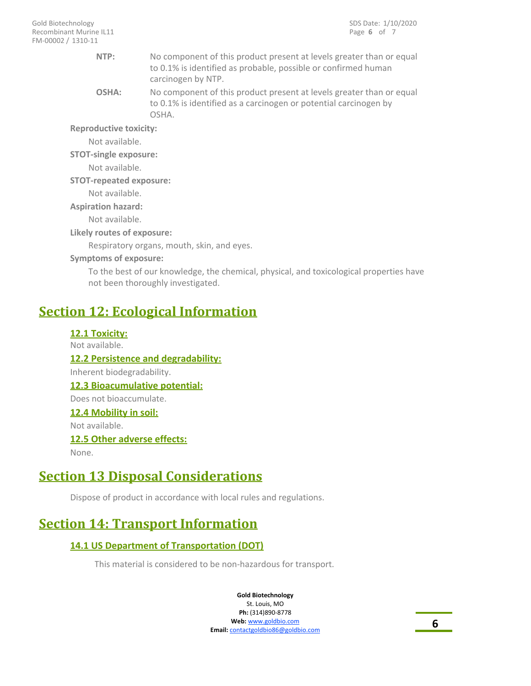| NTP:                           | No component of this product present at levels greater than or equal<br>to 0.1% is identified as probable, possible or confirmed human<br>carcinogen by NTP. |
|--------------------------------|--------------------------------------------------------------------------------------------------------------------------------------------------------------|
| OSHA:                          | No component of this product present at levels greater than or equal<br>to 0.1% is identified as a carcinogen or potential carcinogen by<br>OSHA.            |
| <b>Reproductive toxicity:</b>  |                                                                                                                                                              |
| Not available.                 |                                                                                                                                                              |
| <b>STOT-single exposure:</b>   |                                                                                                                                                              |
| Not available.                 |                                                                                                                                                              |
| <b>STOT-repeated exposure:</b> |                                                                                                                                                              |
| Not available.                 |                                                                                                                                                              |
| <b>Aspiration hazard:</b>      |                                                                                                                                                              |
| Not available.                 |                                                                                                                                                              |
| Likely routes of exposure:     |                                                                                                                                                              |
|                                | Respiratory organs, mouth, skin, and eyes.                                                                                                                   |
| <b>Symptoms of exposure:</b>   |                                                                                                                                                              |
|                                |                                                                                                                                                              |

To the best of our knowledge, the chemical, physical, and toxicological properties have not been thoroughly investigated.

# **Section 12: Ecological Information**

**12.1 Toxicity:** Not available. **12.2 Persistence and degradability:** Inherent biodegradability. **12.3 Bioacumulative potential:** Does not bioaccumulate. **12.4 Mobility in soil:** Not available. **12.5 Other adverse effects:** None.

# **Section 13 Disposal Considerations**

Dispose of product in accordance with local rules and regulations.

# **Section 14: Transport Information**

### **14.1 US Department of Transportation (DOT)**

This material is considered to be non-hazardous for transport.

**Gold Biotechnology** St. Louis, MO

**Ph:** (314)890-8778 **Web:** www.goldbio.com **Email:** contactgoldbio86@goldbio.com